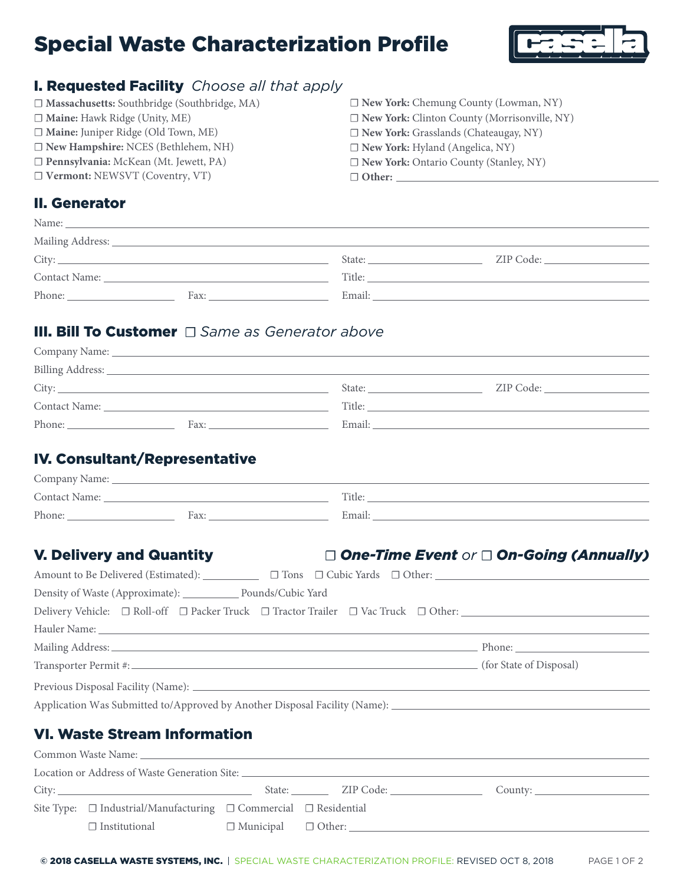# Special Waste Characterization Profile



# I. Requested Facility *Choose all that apply*

| □ Massachusetts: Southbridge (Southbridge, MA) | □ New York: Chemung County (Lowman, NY)             |
|------------------------------------------------|-----------------------------------------------------|
| $\Box$ Maine: Hawk Ridge (Unity, ME)           | $\Box$ New York: Clinton County (Morrisonville, NY) |
| □ Maine: Juniper Ridge (Old Town, ME)          | $\Box$ New York: Grasslands (Chateaugay, NY)        |
| $\Box$ New Hampshire: NCES (Bethlehem, NH)     | $\Box$ New York: Hyland (Angelica, NY)              |
| □ Pennsylvania: McKean (Mt. Jewett, PA)        | $\Box$ New York: Ontario County (Stanley, NY)       |
| $\Box$ Vermont: NEWSVT (Coventry, VT)          | $\Box$ Other:                                       |
|                                                |                                                     |

### II. Generator

| Name: | <u> 1989 - Johann Harry Harry Harry Harry Harry Harry Harry Harry Harry Harry Harry Harry Harry Harry Harry Harry</u> |        |  |
|-------|-----------------------------------------------------------------------------------------------------------------------|--------|--|
|       |                                                                                                                       |        |  |
|       |                                                                                                                       | State: |  |
|       |                                                                                                                       | Title: |  |
|       | Fax:<br>the control of the control of                                                                                 | Email: |  |
|       |                                                                                                                       |        |  |

# III. Bill To Customer ☐ *Same as Generator above*

|               |      | State: | ZIP Code: |
|---------------|------|--------|-----------|
| Contact Name: |      | Title: |           |
| Phone:        | Fax: | Email: |           |
|               |      |        |           |

## IV. Consultant/Representative

| Company Name: |     |        |
|---------------|-----|--------|
| Contact Name: |     | Title: |
| Phone:        | Fax | Email  |

# V. Delivery and Quantity ☐ *One-Time Event or* ☐ *On-Going (Annually)*

| Density of Waste (Approximate): Pounds/Cubic Yard                                                                                                                                                                              |  |  |  |
|--------------------------------------------------------------------------------------------------------------------------------------------------------------------------------------------------------------------------------|--|--|--|
| Delivery Vehicle: □ Roll-off □ Packer Truck □ Tractor Trailer □ Vac Truck □ Other: ____________________________                                                                                                                |  |  |  |
|                                                                                                                                                                                                                                |  |  |  |
|                                                                                                                                                                                                                                |  |  |  |
|                                                                                                                                                                                                                                |  |  |  |
|                                                                                                                                                                                                                                |  |  |  |
| Application Was Submitted to/Approved by Another Disposal Facility (Name): ___________________________________                                                                                                                 |  |  |  |
| <b>VI. Waste Stream Information</b>                                                                                                                                                                                            |  |  |  |
|                                                                                                                                                                                                                                |  |  |  |
| City: Curry County: City: County: County: County: County: County: County: County: County: County: County: County: County: County: County: County: County: County: County: County: County: County: County: County: County: Coun |  |  |  |
| Site Type: $\Box$ Industrial/Manufacturing $\Box$ Commercial $\Box$ Residential                                                                                                                                                |  |  |  |

© 2018 CASELLA WASTE SYSTEMS, INC. | SPECIAL WASTE CHARACTERIZATION PROFILE: REVISED OCT 8, 2018

☐ Institutional ☐ Municipal ☐ Other: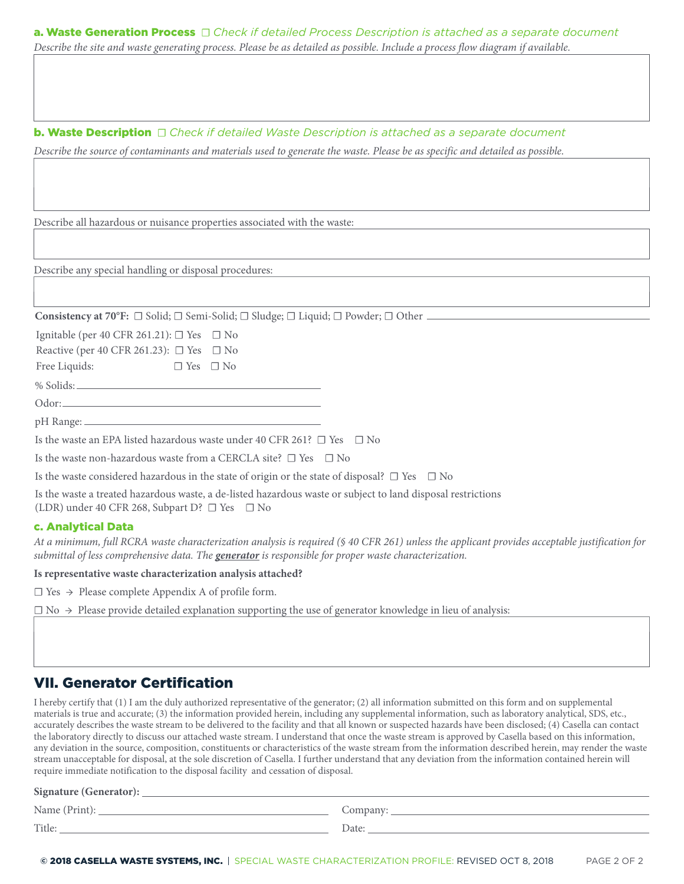| <b>a. Waste Generation Process</b> $\Box$ Check if detailed Process Description is attached as a separate document              |  |  |
|---------------------------------------------------------------------------------------------------------------------------------|--|--|
| Describe the site and waste generating process. Please be as detailed as possible. Include a process flow diagram if available. |  |  |

**b. Waste Description** □ Check if detailed Waste Description is attached as a separate document

*Describe the source of contaminants and materials used to generate the waste. Please be as specific and detailed as possible.*

Describe all hazardous or nuisance properties associated with the waste:

Describe any special handling or disposal procedures:

**Consistency at 70°F:** ☐ Solid; ☐ Semi-Solid; ☐ Sludge; ☐ Liquid; ☐ Powder; ☐ Other

Ignitable (per 40 CFR 261.21):  $\Box$  Yes  $\Box$  No

Reactive (per 40 CFR 261.23):  $\Box$  Yes  $\Box$  No

Free Liquids: □ Yes □ No

% Solids:

Odor: pH Range:

Is the waste an EPA listed hazardous waste under 40 CFR 261?  $\Box$  Yes  $\Box$  No

Is the waste non-hazardous waste from a CERCLA site?  $\Box$  Yes  $\Box$  No

Is the waste considered hazardous in the state of origin or the state of disposal?  $\Box$  Yes  $\Box$  No

Is the waste a treated hazardous waste, a de-listed hazardous waste or subject to land disposal restrictions (LDR) under 40 CFR 268, Subpart D? ☐ Yes ☐ No

#### c. Analytical Data

*At a minimum, full RCRA waste characterization analysis is required (§ 40 CFR 261) unless the applicant provides acceptable justification for submittal of less comprehensive data. The generator is responsible for proper waste characterization.*

**Is representative waste characterization analysis attached?**

 $\Box$  Yes  $\rightarrow$  Please complete Appendix A of profile form.

 $\Box$  No  $\rightarrow$  Please provide detailed explanation supporting the use of generator knowledge in lieu of analysis:

# VII. Generator Certification

I hereby certify that (1) I am the duly authorized representative of the generator; (2) all information submitted on this form and on supplemental materials is true and accurate; (3) the information provided herein, including any supplemental information, such as laboratory analytical, SDS, etc., accurately describes the waste stream to be delivered to the facility and that all known or suspected hazards have been disclosed; (4) Casella can contact the laboratory directly to discuss our attached waste stream. I understand that once the waste stream is approved by Casella based on this information, any deviation in the source, composition, constituents or characteristics of the waste stream from the information described herein, may render the waste stream unacceptable for disposal, at the sole discretion of Casella. I further understand that any deviation from the information contained herein will require immediate notification to the disposal facility and cessation of disposal.

#### **Signature (Generator):**

Name (Print): Company:

Title: <u>Date: Date: Date: Date: Date: Date: Date: Date: Date: Date: Date: Date: Date: Date: Date: Date: Date: Date: Date: Date: Date: Date: Date: Date: Date: Date: Date: Date: Date: Date: Date: Date: Date: Date: Date: Date</u>

© 2018 CASELLA WASTE SYSTEMS, INC. | SPECIAL WASTE CHARACTERIZATION PROFILE: REVISED OCT 8, 2018